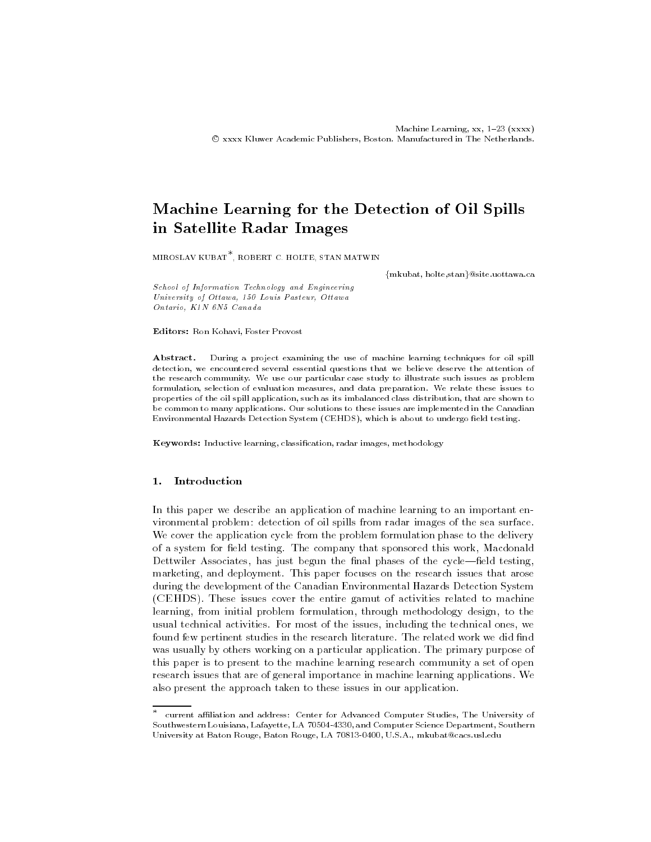# Machine Learning for the Detection of Oil Spillsin Satellite Radar Images

MIROSER KODRI , ROBERT C. HOLIE, SIRR MIII WIR

 $\{ {\rm mkubat}, {\rm holte}, {\rm stan}\}$ @site.uottawa.ca

School of Information Technology and Engineering University of Ottawa-University of Ottawa-University of Ottawa-University of Ottawa-University of Ottawa-University o control exercices and any man

Editors- Ron Kohavi- Foster Provost

Abstract. During a project examining the use of machine learning techniques for oil spill detection- we encountered several essential questions that we believe deserve the attention of the research community. We use our particular case study to illustrate such issues as problem formulation- selection of evaluation measures- and data preparation We relate these issues to properties of the oil spill application-distribution-distribution-distribution-distribution-distribution-distributionbe common to many applications. Our solutions to these issues are implemented in the Canadian Environmental Hazards Detection System (CEHDS), which is about to undergo field testing.

Keywords- Inductive learning- classication- radar images- methodology

In this paper we describe an application of machine learning to an important environmental problem: detection of oil spills from radar images of the sea surface. We cover the application cycle from the problem formulation phase to the delivery of a system for field testing. The company that sponsored this work, Macdonald Dettwiler Associates, has just begun the final phases of the cycle—field testing, marketing, and deployment. This paper focuses on the research issues that arose during the development of the Canadian Environmental Hazards Detection System (CEHDS). These issues cover the entire gamut of activities related to machine learning, from initial problem formulation, through methodology design, to the usual technical activities. For most of the issues, including the technical ones, we found few pertinent studies in the research literature. The related work we did find was usually by others working on a particular application. The primary purpose of this paper is to present to the machine learning research community a set of open research issues that are of general importance in machine learning applications We also present the approach taken to these issues in our application

 current a
liation and address Center for Advanced Computer Studies- The University of Southwestern Louisiana- Lafayette- LA - and Computer Science Department- Southern university at Baton Rouge-University at Baton Rouge-University and the University and Development and Development and Development and Development and Development and Development and Development and Development and Developm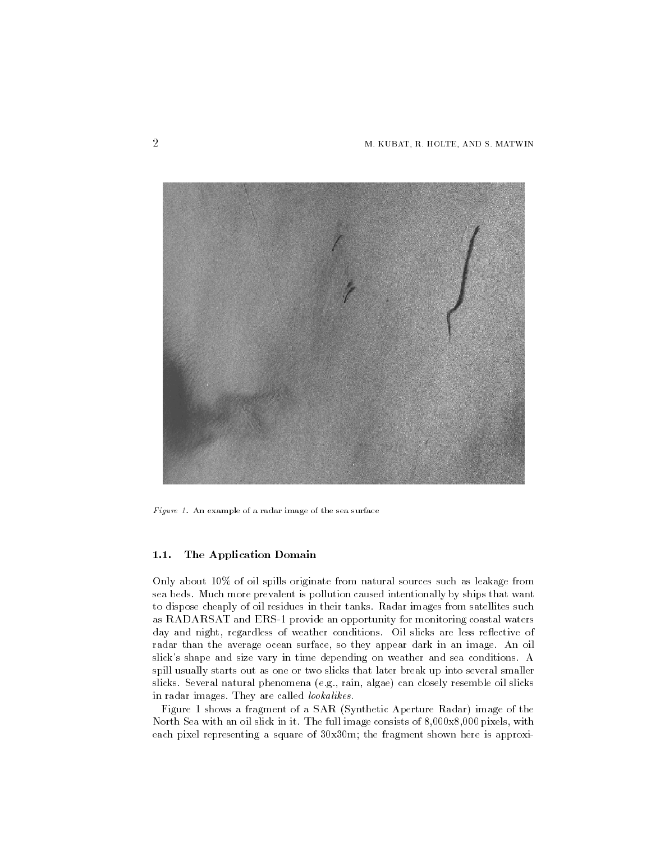

Figure 1. An example of a radar image of the sea surface

## The Application Domain

Only about  of oil spills originate from natural sources such as leakage from sea beds Much more prevalent is pollution caused intentionally by ships that want to dispose cheaply of oil residues in their tanks Radar images from satellites such as RADARSAT and ERS- provide an opportunity for monitoring coastal waters day and night, regardless of weather conditions. Oil slicks are less reflective of radar than the average ocean surface, so they appear dark in an image. An oil slick's shape and size vary in time depending on weather and sea conditions. A spill usually starts out as one or two slicks that later break up into several smaller slicks. Several natural phenomena (e.g., rain, algae) can closely resemble oil slicks in radar images. They are called *lookalikes*.

Figure shows a fragment of a SAR Synthetic Aperture Radar image of the North Sea with an oil slick in it. The full image consists of  $8,000x8,000$  pixels, with each pixel representing a square of  $30x30m$ ; the fragment shown here is approxi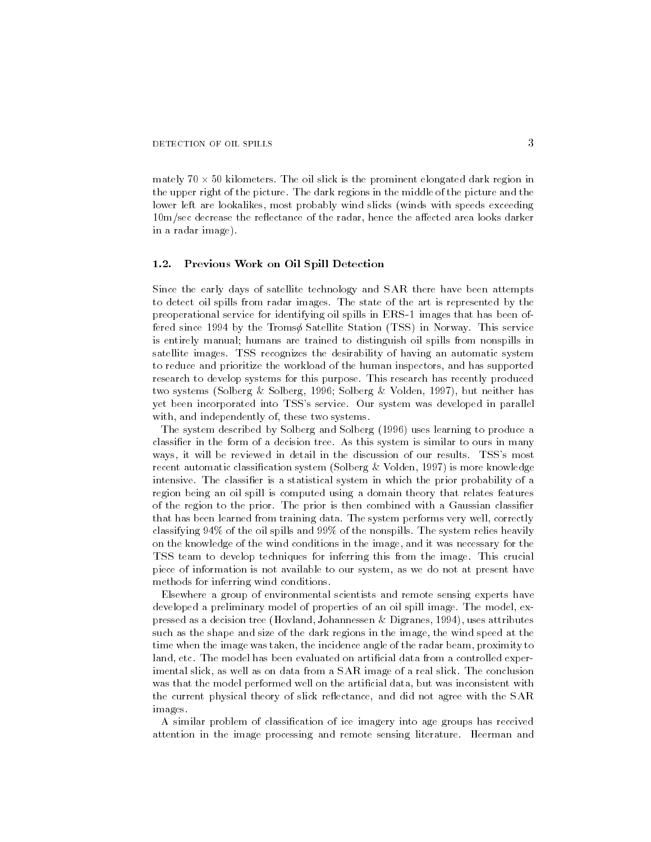mately  $70 \times 50$  kilometers. The oil slick is the prominent elongated dark region in the upper right of the picture The dark regions in the middle of the picture and the lower left are lookalikes, most probably wind slicks (winds with speeds exceeding msec decrease the re
ectance of the radar hence the aected area looks darker in a radar image 

## Previous Work on Oil Spill Detection

Since the early days of satellite technology and SAR there have been attempts to detect oil spills from radar images The state of the art is represented by the preoperational service for identifying oil spills in ERS- images that has been offered since by the Tromso Satellite Station TSS in Norway This service is entirely manual; humans are trained to distinguish oil spills from nonspills in satellite images TSS recognizes the desirability of having an automatic system to reduce and prioritize the workload of the human inspectors and has supported research to develop systems for this purpose. This research has recently produced two systems (see sy solberg) and it see sy starting the second of the second computer  $\mathbf{u}$ yet been incorporated into TSS's service. Our system was developed in parallel with, and independently of, these two systems.

The system described by Solberg and Solberg uses learning to produce a classifier in the form of a decision tree. As this system is similar to ours in many ways, it will be reviewed in detail in the discussion of our results. TSS's most recent automatic classication system Solberg at Telecomplete I. More and Solberg . intensive. The classifier is a statistical system in which the prior probability of a region being an oil spill is computed using a domain theory that relates features of the region to the prior The prior is then combined with a Gaussian classier that has been learned from training data. The system performs very well, correctly classifying  $94\%$  of the oil spills and  $99\%$  of the nonspills. The system relies heavily on the knowledge of the wind conditions in the image and it was necessary for the TSS team to develop techniques for inferring this from the image This crucial piece of information is not available to our system as we do not at present have methods for inferring wind conditions

Elsewhere a group of environmental scientists and remote sensing experts have developed a preliminary model of properties of an oil spill image. The model, expressed as a decision tree Hovel company conditions to be appeared to a symmetry at the second collection of such as the shape and size of the dark regions in the image, the wind speed at the time when the image was taken, the incidence angle of the radar beam, proximity to land, etc. The model has been evaluated on artificial data from a controlled experimental slick, as well as on data from a SAR image of a real slick. The conclusion was that the model performed well on the artificial data, but was inconsistent with the current physical theory of slick reflectance, and did not agree with the SAR images

A similar problem of classication of ice imagery into age groups has received attention in the image processing and remote sensing literature. Heerman and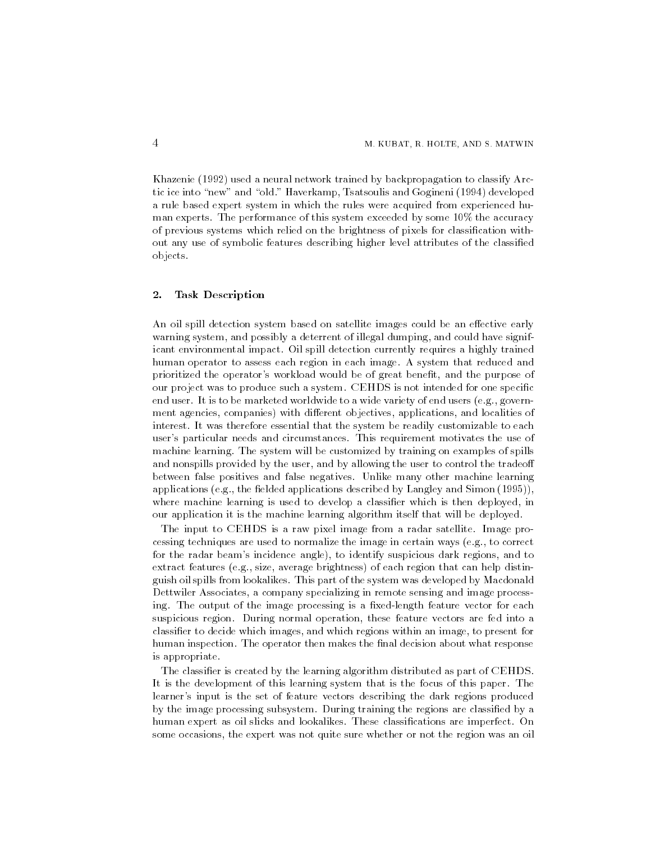Khazenie used a neural network trained by backpropagation to classify Arc- $\blacksquare$  is into new and old Haverkamp Tsatsoulis and Gogineni is and Gogineni is and Gogineni is and Gogineni is an a rule based expert system in which the rules were acquired from experienced human experiment performance of this system exceeded by some party that we have  $\eta$ of previous systems which relied on the brightness of pixels for classication without any use of symbolic features describing higher level attributes of the classied objects

## $\overline{2}$ . Task Description

An oil spill detection system based on satellite images could be an effective early warning system, and possibly a deterrent of illegal dumping, and could have significant environmental impact. Oil spill detection currently requires a highly trained human operator to assess each region in each image A system that reduced and prioritized the operator's workload would be of great benefit, and the purpose of our project was to produce such a system. CEHDS is not intended for one specific end user. It is to be marketed worldwide to a wide variety of end users (e.g., government agencies, companies) with different objectives, applications, and localities of interest. It was therefore essential that the system be readily customizable to each user's particular needs and circumstances. This requirement motivates the use of machine learning. The system will be customized by training on examples of spills and nonspills provided by the user, and by allowing the user to control the tradeoff between false positives and false negatives Unlike many other machine learning applications eg the elded applications described by Langley and Simon where machine learning is used to develop a classifier which is then deployed, in our application it is the machine learning algorithm itself that will be deployed

The input to CEHDS is a raw pixel image from a radar satellite. Image processing techniques are used to normalize the image in certain ways (e.g., to correct for the radar beam's incidence angle), to identify suspicious dark regions, and to extract features (e.g., size, average brightness) of each region that can help distinguish oil spills from lookalikes This part of the system was developed by Macdonald Dettwiler Associates, a company specializing in remote sensing and image processing The output of the image processing is a xed-length feature vector for each suspicious region. During normal operation, these feature vectors are fed into a classifier to decide which images, and which regions within an image, to present for human inspection. The operator then makes the final decision about what response is appropriate

The classifier is created by the learning algorithm distributed as part of CEHDS. It is the development of this learning system that is the focus of this paper. The learner's input is the set of feature vectors describing the dark regions produced by the image processing subsystem. During training the regions are classified by a human expert as oil slicks and lookalikes. These classifications are imperfect. On some occasions, the expert was not quite sure whether or not the region was an oil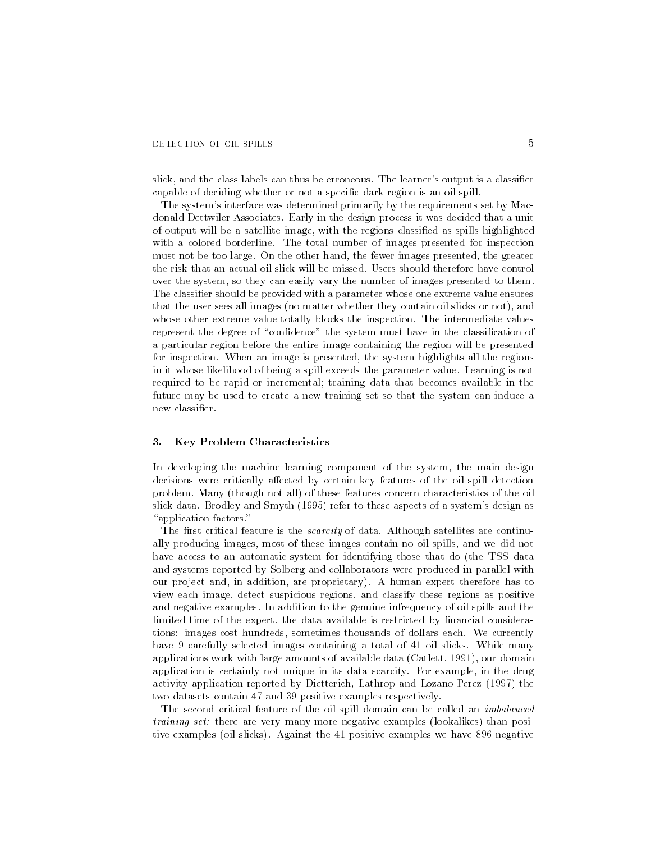slick, and the class labels can thus be erroneous. The learner's output is a classifier capable of deciding whether or not a specific dark region is an oil spill.

The system's interface was determined primarily by the requirements set by Macdonald Dettwiler Associates Early in the design process it was decided that a unit of output will be a satellite image with the regions classied as spills highlighted with a colored borderline. The total number of images presented for inspection must not be too large. On the other hand, the fewer images presented, the greater the risk that an actual oil slick will be missed. Users should therefore have control over the system, so they can easily vary the number of images presented to them. The classifier should be provided with a parameter whose one extreme value ensures that the user sees all images (no matter whether they contain oil slicks or not), and whose other extreme value totally blocks the inspection. The intermediate values represent the degree of "confidence" the system must have in the classification of a particular region before the entire image containing the region will be presented for inspection. When an image is presented, the system highlights all the regions in it whose likelihood of being a spill exceeds the parameter value Learning is not required to be rapid or incremental; training data that becomes available in the future may be used to create a new training set so that the system can induce a new classifier.

#### 3. Key Problem Characteristics

In developing the machine learning component of the system, the main design decisions were critically affected by certain key features of the oil spill detection problem. Many (though not all) of these features concern characteristics of the oil slick data Brodley and Smyth refer to these aspects of a systems design as "application factors."

The first critical feature is the *scarcity* of data. Although satellites are continually producing images most of these images contain no oil spills and we did not have access to an automatic system for identifying those that do (the TSS data and systems reported by Solberg and collaborators were produced in parallel with our project and, in addition, are proprietary). A human expert therefore has to view each image, detect suspicious regions, and classify these regions as positive and negative examples. In addition to the genuine infrequency of oil spills and the limited time of the expert, the data available is restricted by financial considerations: images cost hundreds, sometimes thousands of dollars each. We currently have carefully selected images containing a total of oil slicks While many applications work with large amounts of available data Catlett our domain application is certainly not unique in its data scarcity. For example, in the drug activity application reported by Dietterich Lathrop and Lozano-Perez the two datasets contain 47 and 39 positive examples respectively.

The second critical feature of the oil spill domain can be called an imbalanced training set there are very many more negative examples lookalikes than positive examples oil slicks Against the positive examples we have negative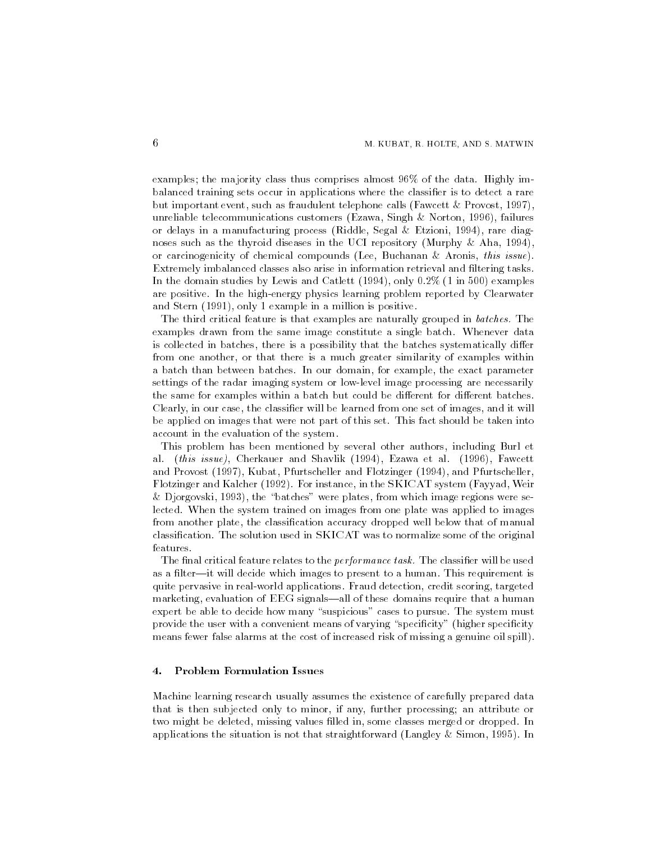examples; the majority class thus comprises almost  $96\%$  of the data. Highly imbalanced training sets occur in applications where the classifier is to detect a rare but important event such as fraudulent telephone calls Fawcett Provost was considered the communications customers experienced in a comparent was a significant of the singh  $\alpha$ or delays in a manufacturing process (element) a gale is medically related diago noses such as the thyroid diseases in the UCI repository Murphy Ahaan post of the UCI repository  $\sim$ or carcinogenicity of chemical compounds (Lee, Buchanan & Aronis, this issue). Extremely imbalanced classes also arise in information retrieval and filtering tasks. In the domain studies by Lewis and Catlett and Catlett and Catlett and Catlett and Catlett and Catlett and Catle are positive In the high-energy physics learning problem reported by Clearwater and Stern Stern Stern Stern Stern Stern Stern Stern Stern Stern Stern Stern Stern Stern Stern Stern Stern Stern

The third critical feature is that examples are naturally grouped in batches- The examples drawn from the same image constitute a single batch. Whenever data is collected in batches, there is a possibility that the batches systematically differ from one another, or that there is a much greater similarity of examples within a batch than between batches. In our domain, for example, the exact parameter settings of the radar imaging system or low-level image processing are necessarily the same for examples within a batch but could be different for different batches. Clearly, in our case, the classifier will be learned from one set of images, and it will be applied on images that were not part of this set This fact should be taken into account in the evaluation of the system

This problem has been mentioned by several other authors including Burl et al (*this issue)*, Onchauch and Shaviia (1994), Ezawa cu al (1990), Fawccu and Province (Province and Flotzinger and Flotzinger (Province Province And Flotzinger) Flotzinger and Kalcher For instance in the SKICAT system Fayyad Weir Djorgovski the batches were plates from which image regions were selected. When the system trained on images from one plate was applied to images from another plate, the classification accuracy dropped well below that of manual classification. The solution used in  $SKICAT$  was to normalize some of the original features

The nal critical feature relates to the performance task- The classier will be used as a filter-it will decide which images to present to a human. This requirement is quite pervasive in real-versions representations real-versions fraud detections of the properties of marketing, evaluation of EEG signals—all of these domains require that a human expert be able to decide how many "suspicious" cases to pursue. The system must provide the user with a convenient means of varying "specificity" (higher specificity means fewer false alarms at the cost of increased risk of missing a genuine oil spill 

## -Problem Formulation Issues

Machine learning research usually assumes the existence of carefully prepared data that is then subjected only to minor if any further processing an attribute or two might be deleted, missing values filled in, some classes merged or dropped. In applications the situation is not that straightforward Langley Simon In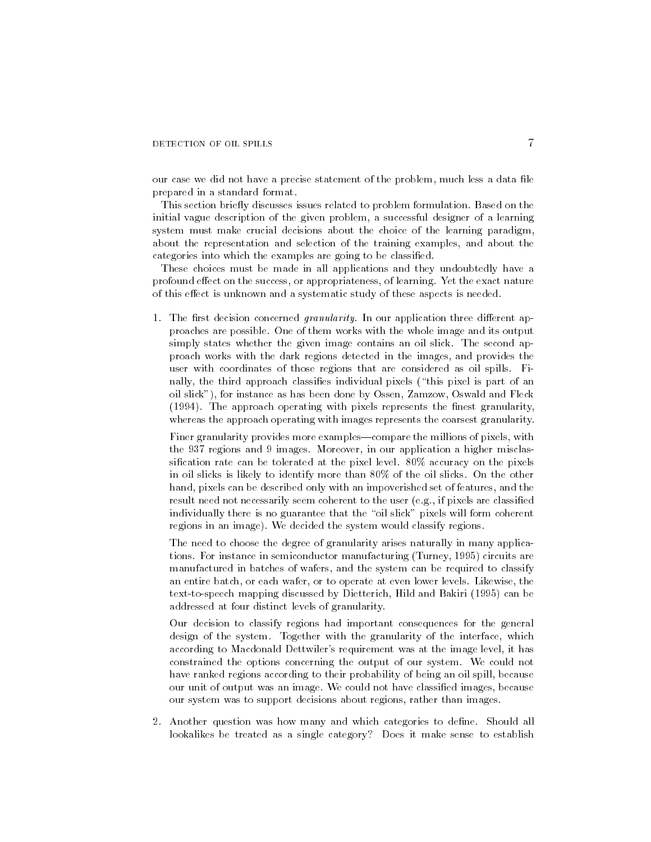our case we did not have a precise statement of the problem, much less a data file prepared in a standard format

This section briefly discusses issues related to problem formulation. Based on the initial vague description of the given problem, a successful designer of a learning system must make crucial decisions about the choice of the learning paradigm about the representation and selection of the training examples and about the categories into which the examples are going to be classified.

These choices must be made in all applications and they undoubtedly have a profound effect on the success, or appropriateness, of learning. Yet the exact nature of this effect is unknown and a systematic study of these aspects is needed.

The ratio inter accidion concerned granularity in our application three dimensions approaches are possible One of them works with the whole image and its output simply states whether the given image contains an oil slick. The second approach works with the dark regions detected in the images, and provides the user with coordinates of those regions that are considered as oil spills. Finally, the third approach classifies individual pixels ("this pixel is part of an oil slick"), for instance as has been done by Ossen, Zamzow, Oswald and Fleck The approach operating with pixels represents the nest granularity whereas the approach operating with images represents the coarsest granularity.

Finer granularity provides more examples—compare the millions of pixels, with the 937 regions and 9 images. Moreover, in our application a higher misclassification rate can be tolerated at the pixel level. 80% accuracy on the pixels in oil slicks is likely to identify more than  $80\%$  of the oil slicks. On the other hand, pixels can be described only with an impoverished set of features, and the result need not necessarily seem coherent to the user  $(e.g., if pixels are classified$ individually there is no guarantee that the "oil slick" pixels will form coherent regions in an image). We decided the system would classify regions.

The need to choose the degree of granularity arises naturally in many applica- $\mathbf{f}$  instance instance in semiconductor manufacturing Turney are  $\mathbf{f}$ manufactured in batches of wafers, and the system can be required to classify an entire batch, or each wafer, or to operate at even lower levels. Likewise, the text-co-epeech manpping matematic speech entering many manual manner (person) can so addressed at four distinct levels of granularity

Our decision to classify regions had important consequences for the general design of the system. Together with the granularity of the interface, which according to Macdonald Dettwiler's requirement was at the image level, it has constrained the options concerning the output of our system. We could not have ranked regions according to their probability of being an oil spill, because our unit of output was an image We could not have classied images because our system was to support decisions about regions, rather than images.

2. Another question was how many and which categories to define. Should all lookalikes be treated as a single category? Does it make sense to establish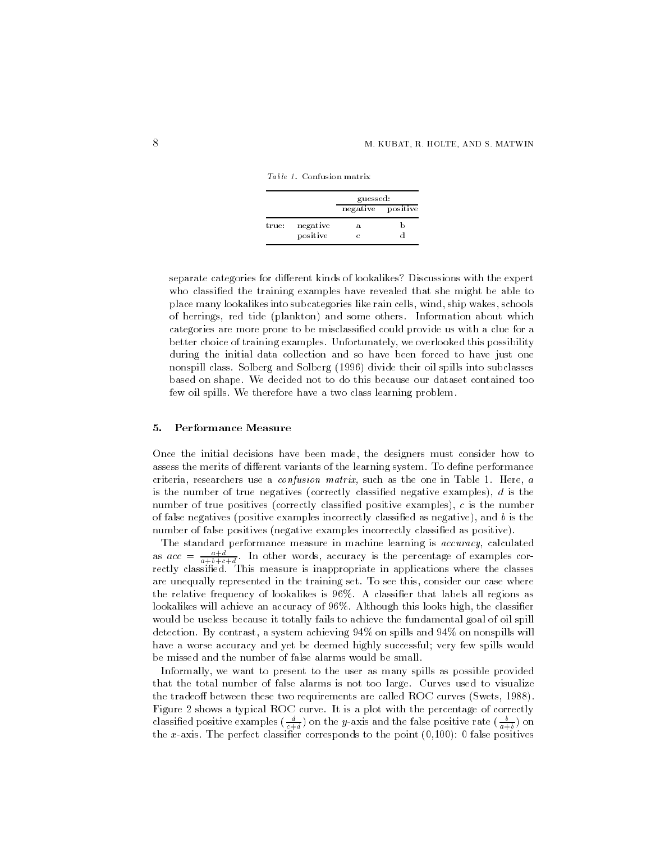Table 1. Confusion matrix

|       |          | guessed:          |  |  |
|-------|----------|-------------------|--|--|
|       |          | negative positive |  |  |
| true: | negative | a                 |  |  |
|       | positive |                   |  |  |

separate categories for different kinds of lookalikes? Discussions with the expert who classified the training examples have revealed that she might be able to place many lookalikes into subcategories like rain cells, wind, ship wakes, schools of herrings, red tide (plankton) and some others. Information about which categories are more prone to be misclassified could provide us with a clue for a better choice of training examples Unfortunately we overlooked this possibility during the initial data collection and so have been forced to have just one nonspill class Solberg and Solberg divide their oil spills into subclasses based on shape. We decided not to do this because our dataset contained too few oil spills. We therefore have a two class learning problem.

#### 5. Performance Measure

Once the initial decisions have been made, the designers must consider how to assess the merits of different variants of the learning system. To define performance  $\alpha$  researchers use a composion matrix, such as the one in Table 1. Here,  $a$ is the number of true negatives (correctly classified negative examples),  $d$  is the number of true positives (correctly classified positive examples),  $c$  is the number of false negatives (positive examples incorrectly classified as negative), and  $b$  is the number of false positives (negative examples incorrectly classified as positive).

The standard performance measure in machine learning is accuracy, calculated as  $acc = \frac{a+b+c+d}{a+b+c+d}$ . In other words, accuracy is the percentage of examples correctly classied This measure is inappropriate in applications where the classes are unequally represented in the training set. To see this, consider our case where the relative frequency of lookalikes is  $96\%$ . A classifier that labels all regions as lookalikes will achieve an accuracy of 96%. Although this looks high, the classifier would be useless because it totally fails to achieve the fundamental goal of oil spill detection. By contrast, a system achieving  $94\%$  on spills and  $94\%$  on nonspills will have a worse accuracy and yet be deemed highly successful; very few spills would be missed and the number of false alarms would be small

Informally we want to present to the user as many spills as possible provided that the total number of false alarms is not too large. Curves used to visualize the tradeo between these two requirements are called ROC curves  $\mathbb{R}^n$  . The called ROC curves  $\mathbb{R}^n$ Figure 2 shows a typical ROC curve. It is a plot with the percentage of correctly classified positive examples  $(\frac{c+d}{c+d})$  on the y-axis and the false positive rate  $(\frac{a+b}{a+b})$  on c-<sup>d</sup> athe x-axis. The perfect classifier corresponds to the point (viros), o later positives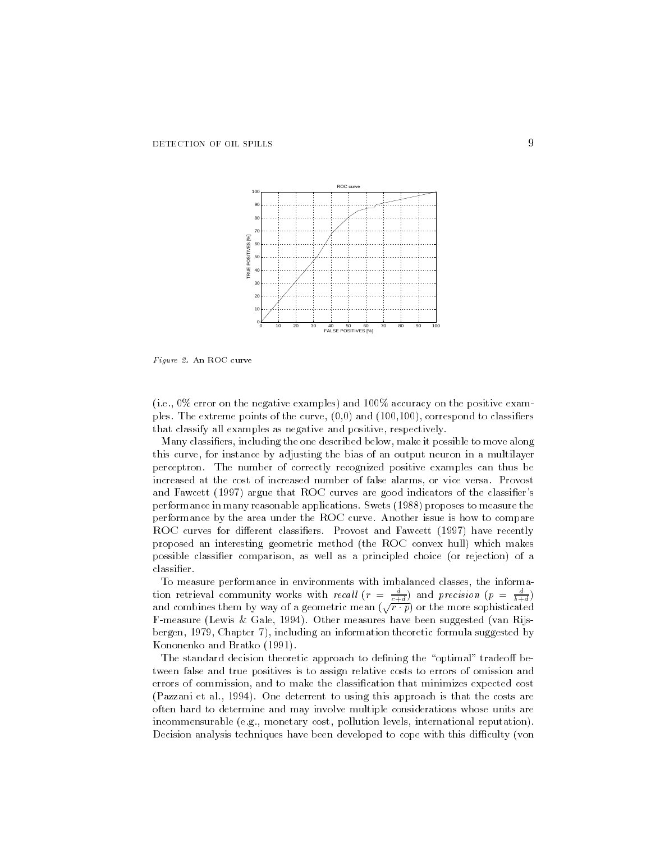

Figure 2. An ROC curve

ie and the negative exam-positive exam-positive exam-positive exam-positive examples The extreme points of the correspond to correspond to correspond to correspond to correspond to correspond to c that classify all examples as negative and positive respectively

Many classifiers, including the one described below, make it possible to move along this curve for instance by adjusting the bias of an output neuron in a multilayer perceptron The number of correctly recognized positive examples can thus be increased at the cost of increased number of false alarms, or vice versa. Provost and Fawcett indicators are good indicators of the curves are good indicators of the classical curves are good performance in many reasonable applications Sweet and the proposes to measure the C performance by the area under the ROC curve Another issue is how to compare ROC curves for dierent classiers Provost and Fawcett have recently proposed an interesting geometric method (the ROC convex hull) which makes possible classifier comparison, as well as a principled choice (or rejection) of a classifier.

To measure performance in environments with imbalanced classes, the information retrieval community works with *recall*  $(r = \frac{1}{c+d})$  and *precision*  $(p = \frac{1}{b+d})$ and combines them by way of a geometric mean  $\sqrt{r}$   $\overline{p}$  or the more sophisticated F-measure Lewis Gale Other measures have been suggested van Rijsbergen Chapter including an information theoretic formula suggested by Kononenko and Bratko 

The standard decision theoretic approach to defining the "optimal" tradeoff between false and true positives is to assign relative costs to errors of omission and errors of commission, and to make the classification that minimizes expected cost Pazzani et al One deterrent to using this approach is that the costs are often hard to determine and may involve multiple considerations whose units are incommensurable (e.g., monetary cost, pollution levels, international reputation). Decision analysis techniques have been developed to cope with this difficulty (von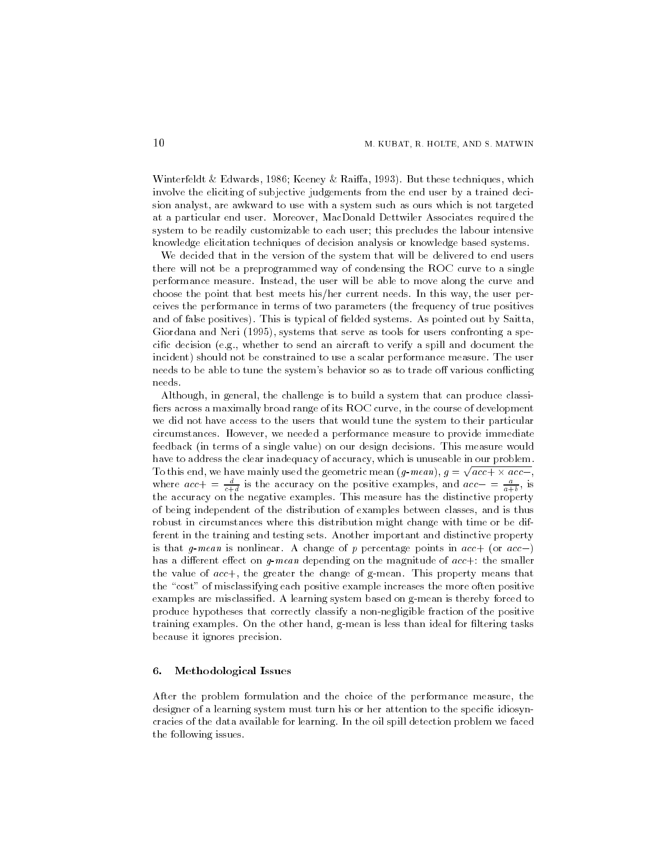winterfeldt Edwards Edwards Raia Raia Raia Raia Raia Raia Raia Raia Raia Raia Raia Raia Raia R involve the eliciting of subjective judgements from the end user by a trained decision analyst, are awkward to use with a system such as ours which is not targeted at a particular end user Moreover MacDonald Dettwiler Associates required the system to be readily customizable to each user; this precludes the labour intensive knowledge elicitation techniques of decision analysis or knowledge based systems

We decided that in the version of the system that will be delivered to end users there will not be a preprogrammed way of condensing the ROC curve to a single performance measure. Instead, the user will be able to move along the curve and choose the point that best meets his/her current needs. In this way, the user perceives the performance in terms of two parameters (the frequency of true positives and of false positives). This is typical of fielded systems. As pointed out by Saitta, Giordana and Neri systems that serve as tools for users confronting a specific decision (e.g., whether to send an aircraft to verify a spill and document the incident) should not be constrained to use a scalar performance measure. The user needs to be able to tune the system's behavior so as to trade off various conflicting needs

Although, in general, the challenge is to build a system that can produce classifiers across a maximally broad range of its  $ROC$  curve, in the course of development we did not have access to the users that would tune the system to their particular circumstances. However, we needed a performance measure to provide immediate feedback (in terms of a single value) on our design decisions. This measure would have to address the clear inadequacy of accuracy which is unuseable in our problem To this end, we have mainly used the geometric mean  $(q\text{-}mean)$ ,  $q = \sqrt{acc + \times acc -}$ , where  $acc + \equiv \frac{m}{\sqrt{3}}$  is the accuracy on the positive examples, and  $acc - \equiv \frac{m}{\sqrt{3}}$ , is c-definition and a-contract the contract of the contract of the contract of the contract of the contract of the contract of the contract of the contract of the contract of the contract of the contract of the contract of th the accuracy on the negative examples This measure has the distinctive property of being independent of the distribution of examples between classes and is thus robust in circumstances where this distribution might change with time or be different in the training and testing sets Another important and distinctive property is that g-mean is nonlinear. A change of p percentage points in  $acc + (or  $acc -$ )$ has a different effect on g-mean depending on the magnitude of  $acc+$ : the smaller the value of wee  $\uparrow$  the greater the change of g-means that property means that the "cost" of misclassifying each positive example increases the more often positive examples are misclassied A learning system based on g-mean is thereby forced to produce hypotheses that correctly classify a non-negligible fraction of the positive training examples On the other hand g-mean is less than ideal for ltering tasks because it ignores precision

## 6. Methodological Issues

After the problem formulation and the choice of the performance measure, the designer of a learning system must turn his or her attention to the specific idiosyncracies of the data available for learning In the oil spill detection problem we faced the following issues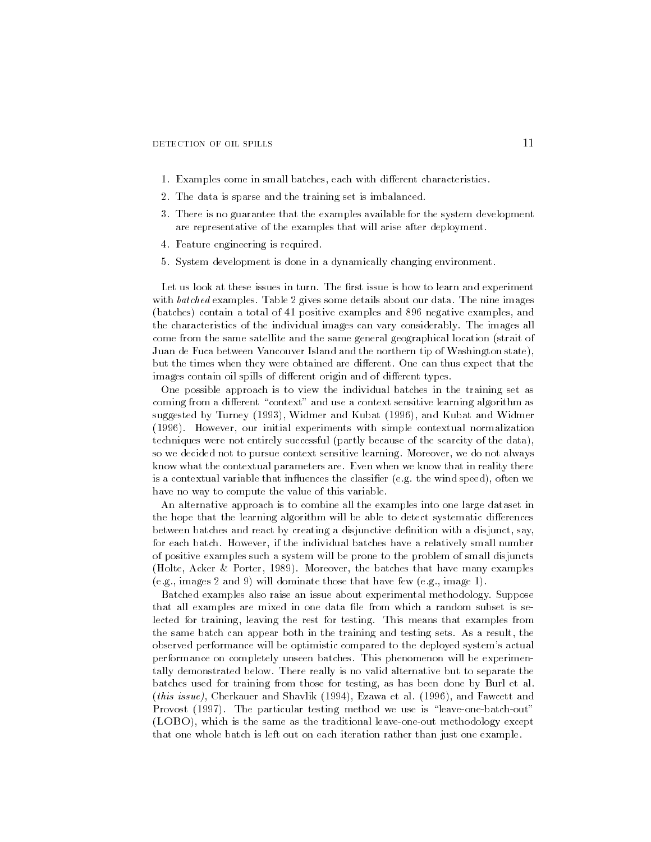- Examples come in small batches each with dierent characteristics
- 2. The data is sparse and the training set is imbalanced.
- There is no guarantee that the examples available for the system development are representative of the examples that will arise after deployment
- 4. Feature engineering is required.
- 5. System development is done in a dynamically changing environment.

Let us look at these issues in turn. The first issue is how to learn and experiment with *batched* examples. Table 2 gives some details about our data. The nine images batches contain a total of positive examples and negative examples and the characteristics of the individual images can vary considerably The images all come from the same satellite and the same general geographical location (strait of Juan de Fuca between Vancouver Island and the northern tip of Washington state), but the times when they were obtained are different. One can thus expect that the images contain oil spills of different origin and of different types.

One possible approach is to view the individual batches in the training set as coming from a different "context" and use a context sensitive learning algorithm as suggested by Turney (Theory) with the Mind Transfer (Theory) which the Mind with the Mind of However our initial experiments with simple contextual normalization techniques were not entirely successful (partly because of the scarcity of the data), so we decided not to pursue context sensitive learning. Moreover, we do not always know what the contextual parameters are Even when we know that in reality there is a contextual variable that influences the classifier (e.g. the wind speed), often we have no way to compute the value of this variable

An alternative approach is to combine all the examples into one large dataset in the hope that the learning algorithm will be able to detect systematic differences between batches and react by creating a disjunctive definition with a disjunct, say, for each batch. However, if the individual batches have a relatively small number of positive examples such a system will be prone to the problem of small disjuncts  $\mathcal{M}$  acter that have many examples that have many examples that have many examples that have many examples that have many examples of  $\mathcal{M}$ eg images and  $\alpha$  will dominate those that is the few equations  $\alpha$ 

Batched examples also raise an issue about experimental methodology Suppose that all examples are mixed in one data file from which a random subset is selected for training, leaving the rest for testing. This means that examples from the same batch can appear both in the training and testing sets. As a result, the observed performance will be optimistic compared to the deployed system's actual performance on completely unseen batches. This phenomenon will be experimentally demonstrated below There really is no valid alternative but to separate the batches used for training from those for testing, as has been done by Burl et al. (*this issue)*, Oncladuci and Dhavlia (1994), Ezawa ct al. (1990), and Fawcett and one-batch-batch-batch-batch-batch-batch-batch-batch-batch-batch-batch-batch-batch-batch-batch-batch-batch-batch-LOBO which is the same as the traditional leave-one-out methodology except that one whole batch is left out on each iteration rather than just one example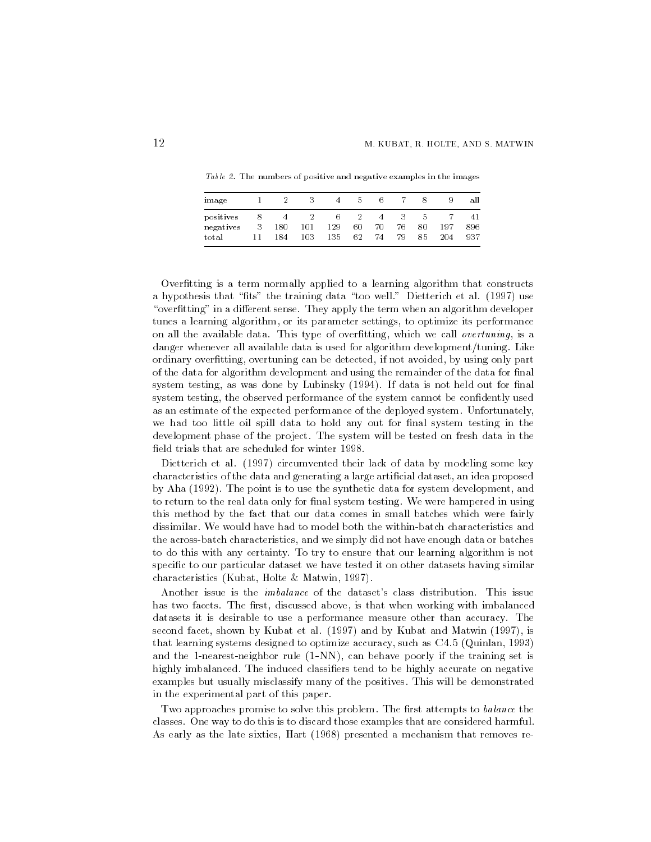| image     |                           | $\mathbf{2}$ | $\sim$ 3 |     | $4\quad 5$ |       | 6 7                       |     | 9   | all |
|-----------|---------------------------|--------------|----------|-----|------------|-------|---------------------------|-----|-----|-----|
| positives |                           | 8 4 2        |          |     | 6 2        | $4 -$ | $\overline{\phantom{a}3}$ | 5   |     | 41  |
| negatives | $\overline{\phantom{a}3}$ | 180 101      |          | 129 | 60         | 70    | 76.                       | 80. | 197 | 896 |
| total     | 11                        | 184          | 103      | 135 | 62         | 74    | 79                        | 85  | 204 | 937 |

Table  $2$ . The numbers of positive and negative examples in the images

Overtting is a term normally applied to a learning algorithm that constructs a hypothesis that the training data too well Dietterich et al. (2001) data to "overfitting" in a different sense. They apply the term when an algorithm developer tunes a learning algorithm, or its parameter settings, to optimize its performance on all the available data. This type of overfitting, which we call *overtuning*, is a danger whenever all available data is used for algorithm development/tuning. Like ordinary overfitting, overtuning can be detected, if not avoided, by using only part of the data for algorithm development and using the remainder of the data for final system testing as was done by Lubinsky as was done by Lubinsky as well out for  $\mathcal{U}$ system testing, the observed performance of the system cannot be confidently used as an estimate of the expected performance of the deployed system. Unfortunately, we had too little oil spill data to hold any out for final system testing in the development phase of the project. The system will be tested on fresh data in the

Dietterich et al circumvented their lack of data by modeling some key characteristics of the data and generating a large articial dataset an idea proposed by above the point is to use the sympathetic data for synthetic data for system  $\alpha$ to return to the real data only for final system testing. We were hampered in using this method by the fact that our data comes in small batches which were fairly the across-batch characteristics and we simply did not have enough data or batches to do this with any certainty To try to ensure that our learning algorithm is not specific to our particular dataset we have tested it on other datasets having similar characteristics  $\mathcal{N}$  Holte is  $\mathcal{N}$  Holte in the set of  $\mathcal{N}$ 

Another issue is the *imbalance* of the dataset's class distribution. This issue has two facets. The first, discussed above, is that when working with imbalanced datasets it is desirable to use a performance measure other than accuracy The second facety and who we have all the started points of the mathematic shown that the started points of the st that learning systems designed to optimize accuracy such as C Quinlan and the position and the the training set is the training of the training set is highly imbalanced. The induced classifiers tend to be highly accurate on negative examples but usually misclassify many of the positives This will be demonstrated in the experimental part of this paper

Two approaches promise to solve this problem. The first attempts to balance the classes One way to do this is to discard those examples that are considered harmful As early as the late sixties Hart presented a mechanism that removes re-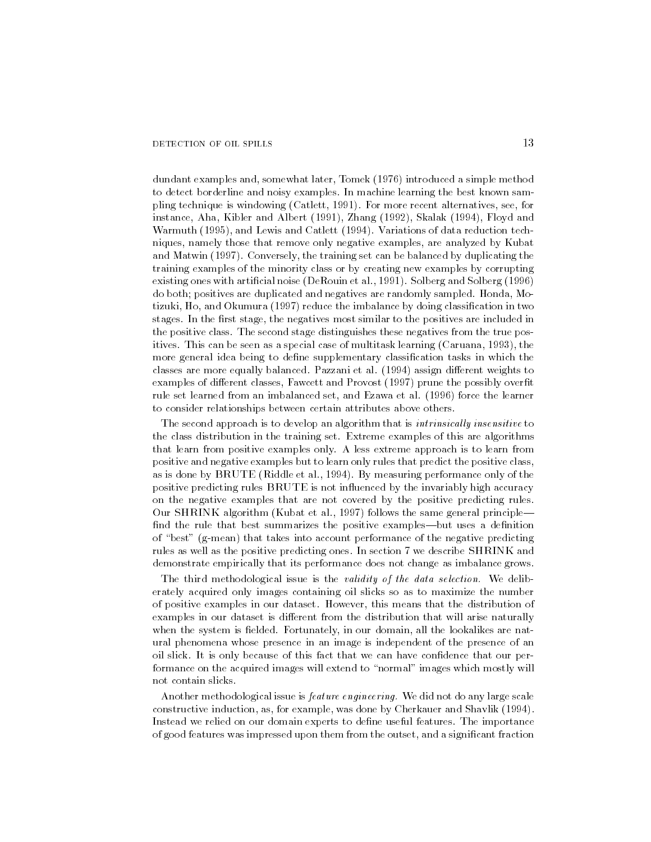dundant examples and somewhat later Tomek and somewhat later Tomek and somewhat later Tomek and somewhat later to detect borderline and noisy examples. In machine learning the best known sam- $\mathbf{F}$  alternatives see for  $\mathbf{F}$ instance Andrew Aha Kibler and Albert Andrew Albert (1988), which is a flow and a strong and and a  $\alpha$  , and  $\alpha$  and  $\alpha$  and  $\alpha$  and  $\alpha$  and  $\alpha$  reduction tech-catlettic tech-catlettic tech-catlettic techniques namely those that remove only negative examples are analyzed by Kubat and matriced ( and i ji the training set can be balanced by duplicating the balanced by duplicating the theory training examples of the minority class or by creating new examples by corrupting existing ones with articial noise DeRouin et al Solberg and Solberg do both; positives are duplicated and negatives are randomly sampled. Honda, Motizuki Ho and Okumura reduce the imbalance by doing classication in two stages. In the first stage, the negatives most similar to the positives are included in the positive class. The second stage distinguishes these negatives from the true positives This can be seen as a special case of multitask learning  $\mathbb{R}^n$  in the case of multitask learning  $\mathbb{R}^n$ more general idea being to define supplementary classification tasks in which the classes are more equally balanced Pazzani et al assign dierent weights to examples of dierent classes Fawcett and Provost prune the possibly overt rule set learned from an imbalanced set and Ezawa et al. In the learned set and Ezawa et al. In the learned se to consider relationships between certain attributes above others

The second approach is to develop an algorithm that is *intrinsically insensitive* to the class distribution in the training set Extreme examples of this are algorithms that learn from positive examples only A less extreme approach is to learn from positive and negative examples but to learn only rules that predict the positive class as is done by BRUTE Riddle et al. (2002) and the ethnic order of the contract of the contract of the contract o positive predicting rules BRUTE is not influenced by the invariably high accuracy on the negative examples that are not covered by the positive predicting rules our SHRINK algorithm Kubat et al same general principles that all same general principles are same general pri find the rule that best summarizes the positive examples-but uses a definition of best g-mean that takes into account performance of the negative predicting rules as well as the positive predicting ones. In section 7 we describe SHRINK and demonstrate empirically that its performance does not change as imbalance grows

The third methodological issue is the validity of the data selection- We deliberately acquired only images containing oil slicks so as to maximize the number of positive examples in our dataset However this means that the distribution of examples in our dataset is different from the distribution that will arise naturally when the system is fielded. Fortunately, in our domain, all the lookalikes are natural phenomena whose presence in an image is independent of the presence of an oil slick It is only because of this fact that we can have condence that our performance on the acquired images will extend to "normal" images which mostly will not contain slicks

Another methodological issue is feature engineering- We did not do any large scale constructive induction as for example was done by Cherkauer and Shavlik Instead we relied on our domain experts to define useful features. The importance of good features was impressed upon them from the outset, and a significant fraction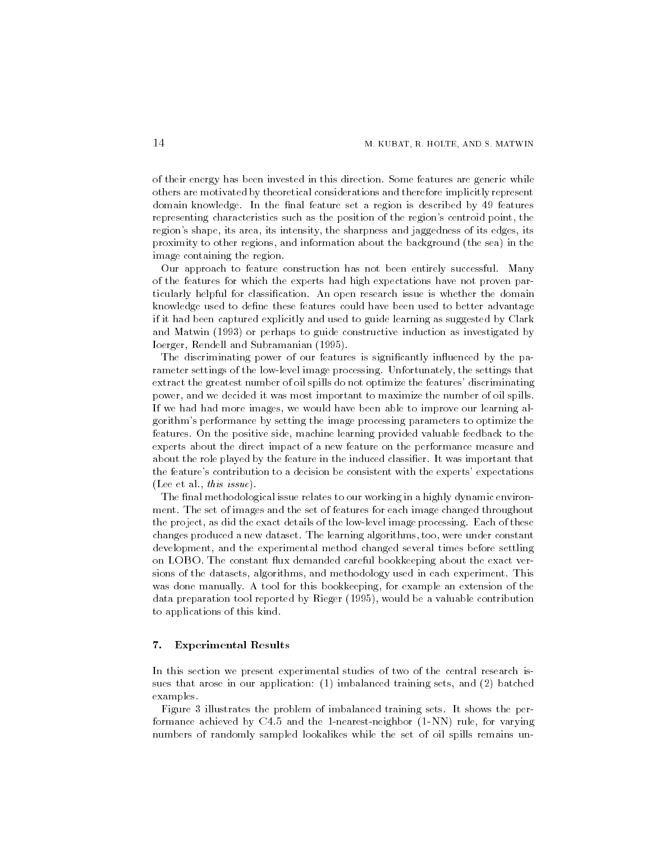of their energy has been invested in this direction Some features are generic while others are motivated by theoretical considerations and therefore implicitly represent domain knowledge. In the final feature set a region is described by 49 features representing characteristics such as the position of the region's centroid point, the region's shape, its area, its intensity, the sharpness and jaggedness of its edges, its proximity to other regions, and information about the background (the sea) in the image containing the region

Our approach to feature construction has not been entirely successful Many of the features for which the experts had high expectations have not proven particularly helpful for classification. An open research issue is whether the domain knowledge used to define these features could have been used to better advantage if it had been captured explicitly and used to guide learning as suggested by Clark and Matwin or perhaps to guide constructive induction as investigated by Ioerger Rendell and Subramanian 

The discriminating power of our features is significantly influenced by the parameter settings of the low-level image processing Unfortunately the settings that extract the greatest number of oil spills do not optimize the features' discriminating power and we decided it was most important to maximize the number of oil spills If we had had more images, we would have been able to improve our learning algorithm's performance by setting the image processing parameters to optimize the features. On the positive side, machine learning provided valuable feedback to the experts about the direct impact of a new feature on the performance measure and about the role played by the feature in the induced classifier. It was important that the feature's contribution to a decision be consistent with the experts' expectations (Lee et al., this issue).

The final methodological issue relates to our working in a highly dynamic environment. The set of images and the set of features for each image changed throughout the project as did the exact details of the low-level image processing Each of these changes produced a new dataset. The learning algorithms, too, were under constant development, and the experimental method changed several times before settling on LOBO. The constant flux demanded careful bookkeeping about the exact versions of the datasets, algorithms, and methodology used in each experiment. This was done manually. A tool for this bookkeeping, for example an extension of the added preparation to a reported by Rieger (room), would be a valuable contribution of to applications of this kind

## $7.$ Experimental Results

In this section we present experimental studies of two of the central research issues that arose in our application imbalanced training sets and batched examples

Figure 3 illustrates the problem of imbalanced training sets. It shows the performance achieved by C and the -nearest-neighbor -NN rule for varying numbers of randomly sampled lookalikes while the set of oil spills remains un-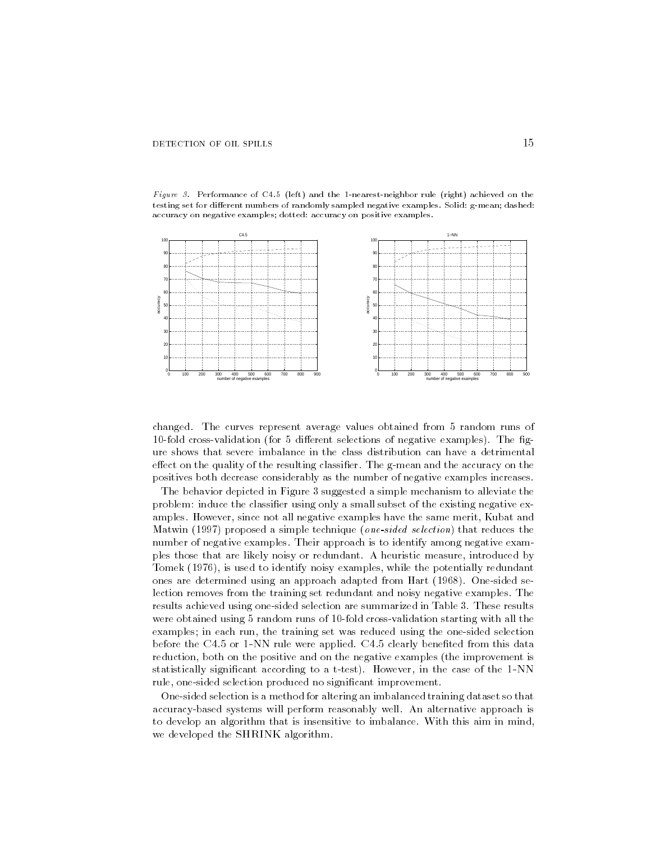Figure 3. Performance of C4.5 (left) and the 1-nearest-neighbor rule (right) achieved on the testing set for different numbers of randomly sampled negative examples. Solid: g-mean; dashed: accuracy on negative examples; dotted: accuracy on positive examples.



changed. The curves represent average values obtained from 5 random runs of -fold cross-validation for dierent selections of negative examples The gure shows that severe imbalance in the class distribution can have a detrimental eect on the quality of the resulting classier The g-mean and the accuracy on the positives both decrease considerably as the number of negative examples increases

The behavior depicted in Figure 3 suggested a simple mechanism to alleviate the problem: induce the classifier using only a small subset of the existing negative examples. However, since not all negative examples have the same merit, Kubat and  $m$ atwin (1991) proposed a simple technique (*one-stata selection*) that reduces the number of negative examples. Their approach is to identify among negative examples those that are likely noisy or redundant A heuristic measure introduced by Tomek is used to identify noisy examples while the potentially redundant ones are determined using an approach adapted from Hart One-sided selection removes from the training set redundant and noisy negative examples. The results achieved using one-sided selection are summarized in Table These results were obtained using random runs of -fold cross-validation starting with all the examples in each run the training set was reduced using the one-sided selection before the C or -NN rule were applied C clearly beneted from this data reduction, both on the positive and on the negative examples (the improvement is statistically significant according to a t-test, who to the case of the - which is the rule one-sided selection produced no signicant improvement

One-sided selection is a method for altering an imbalanced training dataset so that accuracy-based systems will perform reasonably will perform reasonably will perform reasonably well and the system of the system of the system of the system of the system of the system of the system of the system of the sy to develop an algorithm that is insensitive to imbalance With this aim in mind we developed the SHRINK algorithm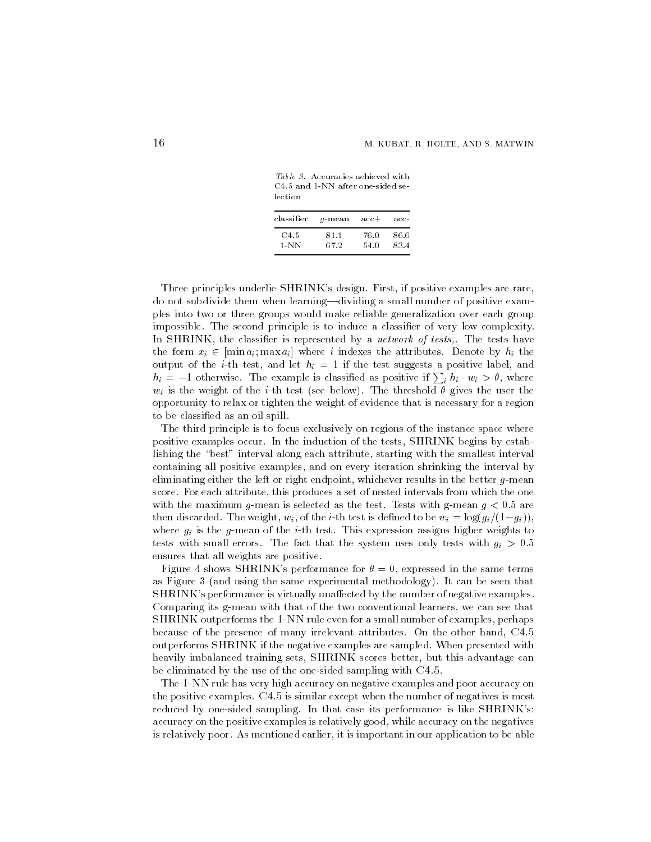Table 3. Accuracies achieved with C4.5 and 1-NN after one-sided selection

| classifier | $q$ -mean | acc+ | acc- |
|------------|-----------|------|------|
| C4.5       | 81 1      | 76 O | 86.6 |
| 1 - N N    | 672       | 54 0 | 834  |

Three principles underlie  $SHRINK$ 's design. First, if positive examples are rare, do not subdivide them when learning—dividing a small number of positive examples into two or three groups would make reliable generalization over each group impossible. The second principle is to induce a classifier of very low complexity. In SHRINK, the classifier is represented by a *network of tests*. The tests have the form  $x_i \in \{ \min a_i; \max a_i \}$  where i indexes the attributes. Denote by  $h_i$  the output of the test, and for  $n_i$  if it the test suggests a positive label, and  $h_i = -1$  otherwise. The example is classified as positive if  $\sum_i h_i \cdot w_i > \theta$ , where  $\omega_i$  is the weight of the  $i$  th test  $\{z\}$  see see  $\mu$ . The uncertainty  $\mathbf{g}_i$ , we the user the opportunity to relax or tighten the weight of evidence that is necessary for a region to be classified as an oil spill.

The third principle is to focus exclusively on regions of the instance space where positive examples occur In the induction of the tests SHRINK begins by establishing the "best" interval along each attribute, starting with the smallest interval containing all positive examples, and on every iteration shrinking the interval by emining the left of the left or right endpoint which we recurse in the better g-means. score. For each attribute, this produces a set of nested intervals from which the one with the maximum g-mean is selected as the test. Tests with g-mean  $q \times q$  are  $t$  then discussion. The weight  $\{x_i\}$  of the  $i$  the test is deningular to be will be  $\{y_i\}$  (  $t = \{y_i\}$  ). where  $g_i$  is the g-mean of the  $i$  th test. This expression assigns higher weights to  $t_{\rm{reco}}$  with small errors  $\pm$  in tast that the system uses only tests with  $g_{i}$  ,  $\pm$  0.0 ensures that all weights are positive

Figure 4 shows SHRINK's performance for  $\theta = 0$ , expressed in the same terms as Figure 3 (and using the same experimental methodology). It can be seen that SHRINK's performance is virtually unaffected by the number of negative examples. Comparing its g-mean with that of the two conventional learners we can see that SHRINK outperforms the -NN rule even for a small number of examples perhaps because of the presence of many irrelevant attributes. On the other hand,  $C4.5$ outperforms SHRINK if the negative examples are sampled When presented with heavily imbalanced training sets, SHRINK scores better, but this advantage can be eliminated by the use of the one-sided sampling with C

The -NN rule has very high accuracy on negative examples and poor accuracy on the positive examples. C4.5 is similar except when the number of negatives is most reduced by one-sided sampling In that case its performance is like SHRINKs accuracy on the positive examples is relatively good, while accuracy on the negatives is relatively poor. As mentioned earlier, it is important in our application to be able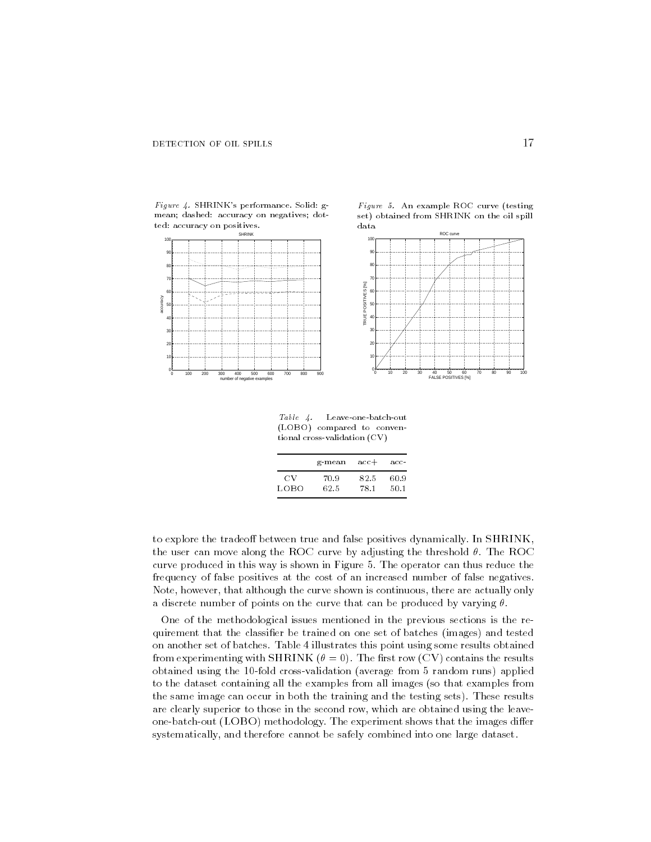Figure 4. SHRINK's performance. Solid:  $g$ mean; dashed: accuracy on negatives; dotted: accuracy on positives.



 $Figure 5.$  An example ROC curve (testing set) obtained from SHRINK on the oil spill data



 $Table 4.$ Leave-one-batch-out (LOBO) compared to conventional cross-validation  $(CV)$ 

|      | g-mean | $\mathrm{acc+}$ | $acc-$ |
|------|--------|-----------------|--------|
| СV   | 70.9   | 82.5            | 60.9   |
| LOBO | 62.5   | 78 1            | 50.1   |

to explore the tradeoff between true and false positives dynamically. In SHRINK, the user can move along the ROC curve by adjusting the threshold  $\theta$ . The ROC curve produced in this way is shown in Figure 5. The operator can thus reduce the frequency of false positives at the cost of an increased number of false negatives Note, however, that although the curve shown is continuous, there are actually only a discrete number of points on the curve that can be produced by varying  $\theta$ .

One of the methodological issues mentioned in the previous sections is the requirement that the classifier be trained on one set of batches (images) and tested on another set of batches. Table 4 illustrates this point using some results obtained from experimenting with SHRINK  $(\theta = 0)$ . The first row (CV) contains the results obtained using the -fold cross-validation average from random runs applied to the dataset containing all the examples from all images (so that examples from the same image can occur in both the training and the testing sets). These results are clearly superior to those in the second row, which are obtained using the leaveone-batch-batch-batch-batch-batch-batch-batch-batch-batch-batch-batch-batch-batch-batch-batch-batch-batch-batchsystematically, and therefore cannot be safely combined into one large dataset.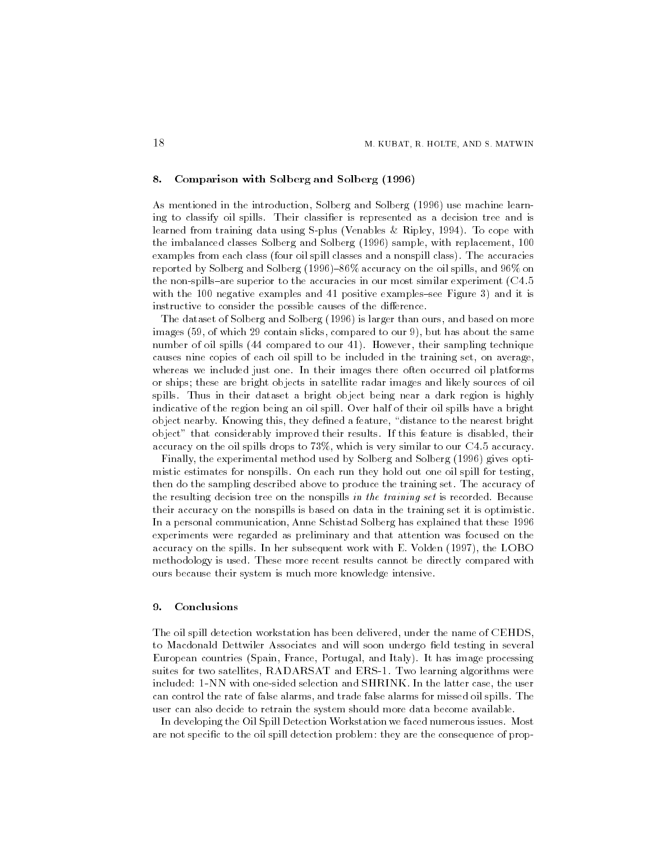#### 8. Comparison with Solberg and Solberg

 $\mathbf A$  mentioned in the introduction  $\mathbf A$ ing to classify oil spills. Their classifier is represented as a decision tree and is learned from training data using S-plus Venables Ripley To cope with the impact contracts statement of the solberg (state  $\mu$  contracts to place the sole of the sole examples from each class (four oil spill classes and a nonspill class). The accuracies reported by Solberg and Solberg (revel), evil accuracy and the opening and spills and  $\sim$ the non-spills#are superior to the accuracies in our most similar experiment C with the contract the contract of the contract of the contract of the contract of the contract of the contract of the contract of the contract of the contract of the contract of the contract of the contract of the contract instructive to consider the possible causes of the difference.

The dataset of Solberg and Solberg is larger than ours and based on more images  $(59,$  of which  $29$  contain slicks, compared to our 9), but has about the same number of oil spinls in the other than the our three sampling techniques are the sampling techniques and the s causes nine copies of each oil spill to be included in the training set, on average, whereas we included just one. In their images there often occurred oil platforms or ships; these are bright objects in satellite radar images and likely sources of oil spills Thus in their dataset a bright object being near a dark region is highly indicative of the region being an oil spill Over half of their oil spills have a bright object nearby. Knowing this, they defined a feature, "distance to the nearest bright object" that considerably improved their results. If this feature is disabled, their accuracy on the oil spills drops to  $73\%$ , which is very similar to our C4.5 accuracy.

Finally the experimental method used by Solberg and Solberg gives optimistic estimates for nonspills. On each run they hold out one oil spill for testing, then do the sampling described above to produce the training set. The accuracy of the resulting decision tree on the nonspills in the training set is recorded. Because their accuracy on the nonspills is based on data in the training set it is optimistic In a personal communication Anne Schistad Solberg has explained that these experiments were regarded as preliminary and that attention was focused on the accuracy on the spinlar in the spinlar  $\mathbf{L}$  here subsequent with E Volden  $\mathbf{L}$ methodology is used. These more recent results cannot be directly compared with ours because their system is much more knowledge intensive

## 9. Conclusions

The oil spill detection workstation has been delivered, under the name of CEHDS, to Macdonald Dettwiler Associates and will soon undergo field testing in several European countries (Spain, France, Portugal, and Italy). It has image processing suites for two satellites RADARSAT and ERS- Two learning algorithms were included - NN with one-sided selection and SHRINK In the user the user the user the user the user the user the can control the rate of false alarms, and trade false alarms for missed oil spills. The user can also decide to retrain the system should more data become available

In developing the Oil Spill Detection Workstation we faced numerous issues Most are not specific to the oil spill detection problem: they are the consequence of prop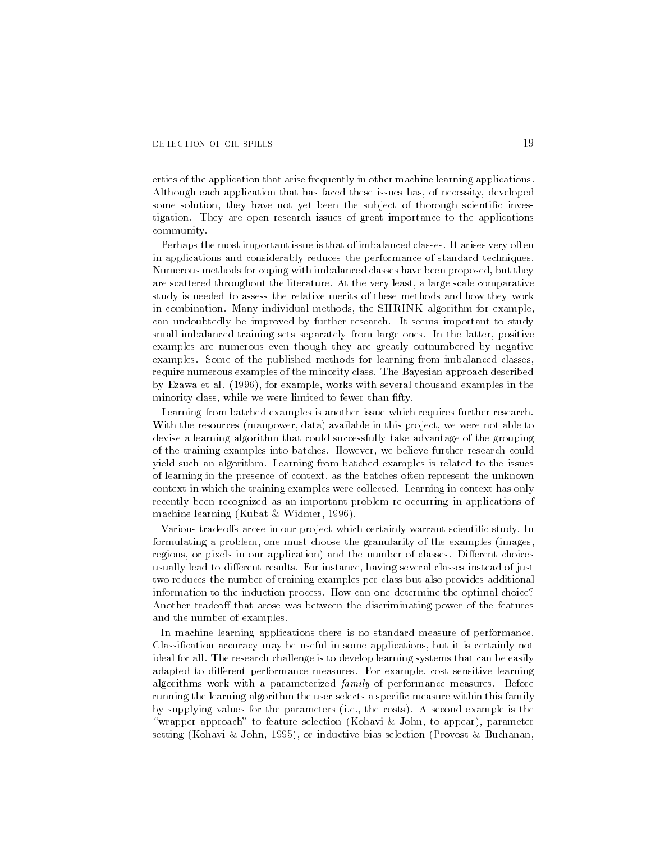erties of the application that arise frequently in other machine learning applications Although each application that has faced these issues has, of necessity, developed some solution, they have not yet been the subject of thorough scientific investigation They are open research issues of great importance to the applications community

Perhaps the most important issue is that of imbalanced classes. It arises very often in applications and considerably reduces the performance of standard techniques Numerous methods for coping with imbalanced classes have been proposed, but they are scattered throughout the literature At the very least a large scale comparative study is needed to assess the relative merits of these methods and how they work in combination. Many individual methods, the SHRINK algorithm for example, can undoubtedly be improved by further research. It seems important to study small imbalanced training sets separately from large ones. In the latter, positive examples are numerous even though they are greatly outnumbered by negative examples. Some of the published methods for learning from imbalanced classes, require numerous examples of the minority class. The Bayesian approach described by Example works with several thousands with several thousand examples in the control thousand examples in the minority class, while we were limited to fewer than fifty.

Learning from batched examples is another issue which requires further research With the resources (manpower, data) available in this project, we were not able to devise a learning algorithm that could successfully take advantage of the grouping of the training examples into batches. However, we believe further research could yield such an algorithm Learning from batched examples is related to the issues of learning in the presence of context as the batches often represent the unknown context in which the training examples were collected. Learning in context has only recently been recognized as an important problem re-occurring in applications of machine learning Kubat Widmer 

Various tradeoffs arose in our project which certainly warrant scientific study. In formulating a problem, one must choose the granularity of the examples (images, regions, or pixels in our application) and the number of classes. Different choices usually lead to different results. For instance, having several classes instead of just two reduces the number of training examples per class but also provides additional information to the induction process. How can one determine the optimal choice? Another tradeoff that arose was between the discriminating power of the features and the number of examples

In machine learning applications there is no standard measure of performance Classification accuracy may be useful in some applications, but it is certainly not ideal for all. The research challenge is to develop learning systems that can be easily adapted to different performance measures. For example, cost sensitive learning algorithms work with a parameterized family of performance measures. Before running the learning algorithm the user selects a specific measure within this family by supplying values for the parameters  $(i.e., the costs)$ . A second example is the "wrapper approach" to feature selection (Kohavi & John, to appear), parameter  $\mathcal{L}$ setting Kohavi  $\mathcal{L}$  John Buchananan  $\mathcal{L}$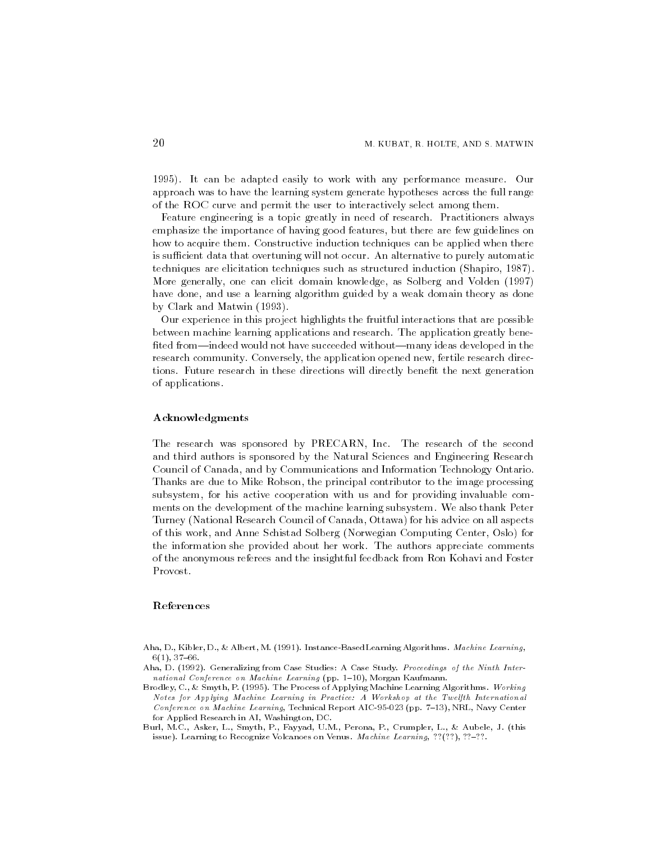It can be adapted easily to work with any performance measure Our approach was to have the learning system generate hypotheses across the full range of the ROC curve and permit the user to interactively select among them

Feature engineering is a topic greatly in need of research Practitioners always emphasize the importance of having good features, but there are few guidelines on how to acquire them. Constructive induction techniques can be applied when there is sufficient data that overtuning will not occur. An alternative to purely automatic techniques are elicitation techniques such as structured induction  $\mathbf{N}$  . Shapiron Shapiron Shapiron Shapiron Shapiron Shapiron Shapiron Shapiron Shapiron Shapiron Shapiron Shapiron Shapiron Shapiron Shapiron Shapiron More generally one can elicit domain knowledge as Solberg and Volden have done, and use a learning algorithm guided by a weak domain theory as done by Class and Mathematics and  $\mathcal{L}$ 

Our experience in this project highlights the fruitful interactions that are possible between machine learning applications and research. The application greatly benefited from-indeed would not have succeeded without-many ideas developed in the research community Conversely the application opened new fertile research directions. Future research in these directions will directly benefit the next generation of applications

## Acknowledgments

The research was sponsored by PRECARN, Inc. The research of the second and third authors is sponsored by the Natural Sciences and Engineering Research Council of Canada and by Communications and Information Technology Ontario Thanks are due to Mike Robson, the principal contributor to the image processing subsystem, for his active cooperation with us and for providing invaluable comments on the development of the machine learning subsystem We also thank Peter Turney (National Research Council of Canada, Ottawa) for his advice on all aspects of this work, and Anne Schistad Solberg (Norwegian Computing Center, Oslo) for the information she provided about her work The authors appreciate comments of the anonymous referees and the insightful feedback from Ron Kohavi and Foster Provost.

Aha- D - Kibler- D - Albert- M InstanceBased Learning Algorithms Machine Learning-- 

- and and the Process of Applying Machine Algorithms and Algorithms and Algorithms and Algorithms and Algorithms Notes for Applying Machine Learning in Practice A Workshop at the Twelfth International conference on Machine Machines, a commence and Machinese or Secondary Process, a control for Applied Research in AI- Washington- DC
- a dia tanàna amin'ny faritr'i Languese de Languese e Languese de la calamina del provincia dia faritr'i Langue issue and Learning to Recognize Volcanoes on Venus Statistics Machine Learning-Learning-Learning-Learning-

 $\mathcal{A}$  and  $\mathcal{A}$  are Studies A Case Study of the Ninth International Proceedings of the Ninth International Proceedings of the Ninth International Proceedings of the Ninth International Proceedings of the Ninth Inter national Conference on Machine Learning pp - Morgan Kaufmann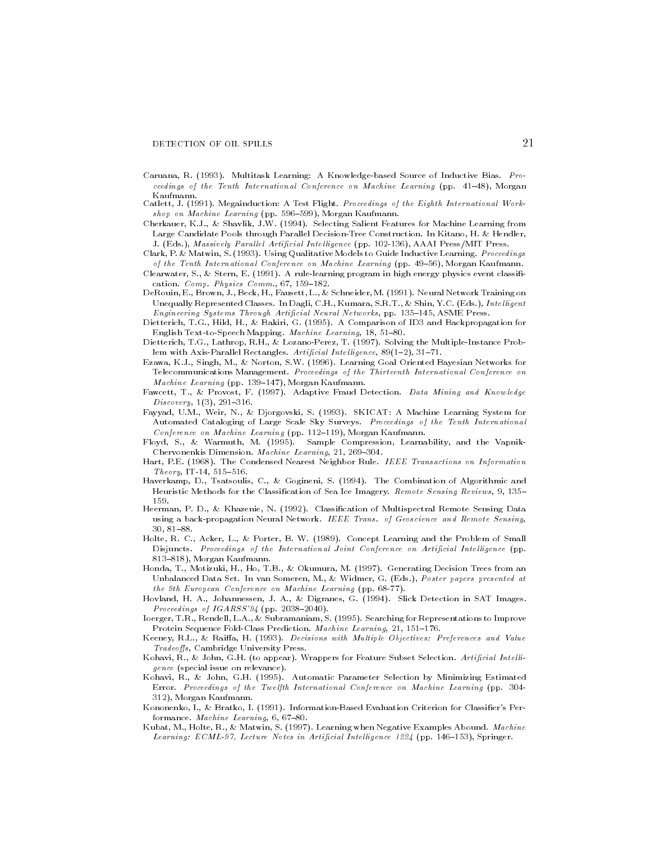- carum Romana- Romana- Romana- Propinsi Learning A Caruana Source of Industries of Industries Propinsi Propins ceedings of the Tenth International Conference on Machine Learning pp and Machine Learning pp and Learning pp a Kaufmann
- Catlett, J. (1991). Megainduction: A Test Flight. Proceedings of the Eighth International Workshop on Machine Learning pp - Morgan Kaufmann
- cherkauer, konig is staanlang sing groot gelecting salient formation for Machine movement, it was ange candidate Pools through Parallel Decision Construction In Kitano-Pools in Kitano-P J Eds - Massively Paral lel Arti
cial Intel ligence pp - AAAI PressMIT Press
- references and the Using Qualitative Models to Guide Inductive Models to Guide Inductive Learning Construction of the Tenth International Conference on Machine Learning pp - Morgan Kaufmann
- ter-stern-berg program in high energy program in high energy physics event classics event classics event classics event classics experiments are the classical control of the classical control of the classical control of th cation is completely assumed to the community of the community of the community of the community of the community of the common state of the community of the community of the community of the community of the community of
- DeRouin- E - Brown- J - Beck- H - Fausett- L - Schneider-M Neural Network Training on , and in the complete Classes of Classes In Daglie Light Classes and intelligent and intelligent intelligent in engineering System Articles and Networks-Articles and Networks-Articles and Networks-Articles and Networks-Articles
- dietterich-betrach-betrach-betrach-betrach-betrach-betrach-betrach-betrach-betrach-betrach-betrach-betrach-bet english Text is a person for program and the manufacturing and the state
- , and the Multiple International contracts to the Multiple International contracts the Multiple International contracts the Multiple lem with AxisParallel Rectangles Arti
cial Intel ligence- -
- ezawa- Monte dia manazarta akan dia manazarta di sebagai di sebagai di sebagai di sebagai di sebagai di sebaga Telecommunications Management. Proceedings of the Thirteenth International Conference on machine and mong pp reserve the proceed and monetary and the serve of the serve of the serve of the serve of the
- Fawcett- T - Provost- F Adaptive Fraud Detection Data Mining and Know ledge Discovery- -
- Fayyad, U.M., Weir, N., & Djorgovski, S. (1993). SKICAT: A Machine Learning System for the strategy of  $\sim$ Automated Cataloging of Large Scale Sky Surveys. Proceedings of the Tenth International Conference on Machine Learning pp - Morgan Kaufmann
- rigat and machinest compression- and the Sample Compressions of the Vapnik and the Vapnik and the Vapnik and t Chervonenkis Dimension Machine Learning- -
- ever a contract the Condense Representations of the Condense Nearest New York and Informations on Information Theory- IT-
- Haverkamp- D - Tsatsoulis- C - Gogineni- S The Combination of Algorithmic and Heuristic Methods for the Classication of Sea Ice Imagery Remote Sensing Reviews- - 1.59
- Heerman, P. D., & Khazenie, N. (1992). Classification of Multispectral Remote Sensing Data using a back-propagation Neural Network. IEEE Trans. of Geoscience and Remote Sensing, -
- evered and and accept with an accept with the Paramalian and the Problem of Small and the Problem of Small and Disjuncts. Proceedings of the International Joint Conference on Artificial Intelligence (pp. - Morgan Kaufmann
- Honda- T - Motizuki- H - Ho- T B - Okumura- M Generating Decision Trees from an Unbalanced Data Set In van Someren- (1999) is the some presented at the some presented at the some presented a the 9th European Conference on Machine Learning (pp. 68-77).
- Hovland- H A - Johannessen- J A - Digranes- G Slick Detection in SAT Images Proceedings of IGARSS pp
- Ioerger- T R - Rendell- L A - Subramaniam- S Searching for Representations to Improve Protein Sequence Fold Class Prediction Machine Machine Learning- Prediction Class
- Keeney- R L - Raia- H Decisions with Multiple Objectives Preferences and Value Tradeos, Press Press Press Press Press Press Press Press Press Press Press Press Press Press Press Press Press
- to a positive subset of the subset Selection and Article Selection Article Selection Article Selection Article  $\textit{gene}$  (special issue on relevance).
- the cohavi-burden control of the cohavi-burden by Minimizing Estimated Estimated Estimated Estimated Estimated Error. Proceedings of the Twelfth International Conference on Machine Learning (pp. 304-- Morgan Kaufmann
- Kononenko- I - Bratko- I InformationBased Evaluation Criterion for Classiers Per formance Machine Learning- -
- Kubat- M - Holte- R - Matwin- S Learning when Negative Examples Abound Machine all control and a control in article in all control anticial intel and the springer and all control in the second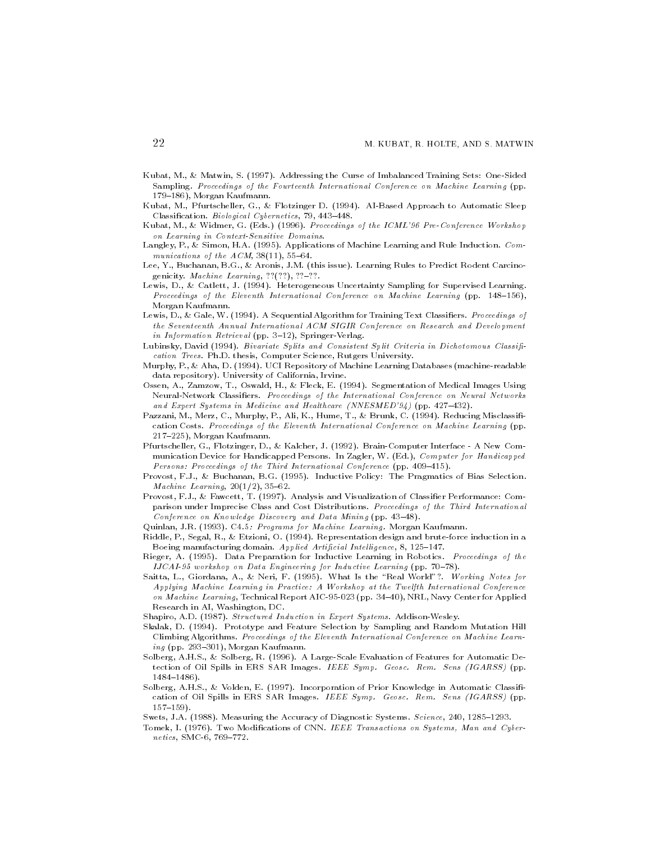- Kubat- M - Matwin- S Addressing the Curse of Imbalanced Training Sets OneSided Sampling. Proceedings of the Fourteenth International Conference on Machine Learning (pp. 179–186). Morgan Kaufmann. -Morgan Kaufmann
- Kubat- M - Pfurtscheller- G - Flotzinger D AIBased Approach to Automatic Sleep communications in the cybernetic cybernetics of the control of the control of the control of the control of th
- Kubat- M - Widmer- G Eds Proceedings of the ICML PreConference Workshop on Learning in Context-Sensitive Domains.
- Langley- P - Simon- H A Applications of Machine Learning and Rule Induction Com munications of the ACM-CHI and ACM-CHI and ACM-
- arry any around the compared to Prediction (1999) (around the experimental resource and the compared to any compa genicity and the Learning-Learning-contract and the Learning-Learning-contract and the Learning-contract and the Le
- Lewis- D - Catlett- J Heterogeneous Uncertainty Sampling for Supervised Learning Proceedings of the Eleventh International Conference on Machine Learning (pp. 148-156), Morgan Kaufmann
- Lewis- D - Gale- W A Sequential Algorithm for Training Text Classiers Proceedings of the Seventeenth Annual International ACM SIGIR Conference on Research and Development in Information Interest in pp - - - II proceeding the company
- Lubinsky- David Bivariate Splits and Consistent Split Criteria in Dichotomous Classi cation Trees and these photographs university of the signal computer Science-
- murphy-i-i-care and the state of the state of Machine Learning Databases machine and the community of the community additional reports for  $\mu$  ,  $\mu$  is considered to construct the constant of  $\mu$  . The constant of  $\mu$
- ossen- Andrea Architecture Using the Medical Images Using the Medical Images Using the Medical Images Using th Neural-Network Classifiers. Proceedings of the International Conference on Neural Networks and Expert Systems in Medicine and Healthcare (1989–1991–1992) (pp. 1993–1994)
- r merzen i da i ali-da i da mare par i ali-da i ali-da i ali-da i ali-da i ali-da i ali-da i ali-da i ali-da i cation Costs. Proceedings of the Eleventh International Conference on Machine Learning (pp. - Morgan Kaufmann
- , a contract the computer interface interface interface interface and a new computer interface interface in th munication Device for Handicapped Persons and Dispersion (Discovery Persons and Dispersons and Dispersons and Persons: Proceedings of the Third International Conference (pp. 409-415).
- $P$ rovost-Bias Selection Policy The Provost-Bias Selection Policy The Pragmatics of Bias Selection Policy The Pragmatics of Bias Selection Provost-Bias Selection Provost-Bias Selection Provost-Bias Selection Provost-Bias Machine Learning- -
- Provost- F J - Fawcett- T Analysis and Visualization of Classier Performance Com parison under Imprecise Class and Cost Distributions. Proceedings of the Third International Conference on Knowledge Discovery and Data Mining (pp. 43-48).
- Quinlan, J.R. (1993). C4.5*: Programs for Machine Learning.* Morgan Kaufmann.
- riddle- Political- Political- Political- Political- Political- Political- Political- Political- Political- Pol both and the manufacturing domains of the contract articles of the state of the state of the state of the state of the state of the state of the state of the state of the state of the state of the state of the state of the
- Rieger- A Data Preparation for Inductive Learning in Robotics Proceedings of the  $IJCAI$ -95 workshop on Data Engineering for Inductive Learning (pp. 70–78).
- saitta, and sait is the Real World World World World World World World World World World All Monter and the Re Applying Machine Learning in Practice A Workshop at the Twelfth International Conference on Machine Learning-Learning-AIC pp - NRL- Applied-AIC pp - NRL- Applied-Applied-Applied-Applied-Applied-Applied-Applied-Applied-Applied-Applied-Applied-Applied-Applied-Applied-Applied-Applied-Applied-Applied-Applied-Appli Research in AI- Washington- DC
- Shapiro- A D Structured Induction in Expert Systems AddisonWesley
- Skalak- D Prototype and Feature Selection by Sampling and Random Mutation Hill Climbing Algorithms. Proceedings of the Eleventh International Conference on Machine Learning pp - Morgan Kaufmann
- $\mathcal{L}$  . The solution of  $\mathcal{L}$  and  $\mathcal{L}$  are  $\mathcal{L}$  . The  $\mathcal{L}$  are  $\mathcal{L}$  and  $\mathcal{L}$  are  $\mathcal{L}$  . The solution of  $\mathcal{L}$  and  $\mathcal{L}$  are  $\mathcal{L}$  . The solution of  $\mathcal{L}$  and  $\mathcal{L}$  are  $\mathcal{L}$ tection of Oil Spills in ERS SAR Images. IEEE Symp. Geosc. Rem. Sens (IGARSS) (pp.  $1484 - 1486$
- solven, colored in the extent of the state in an extended in Automatic Classical Classical Classical Classical cation of Oil Spills in ERS SAR Images. IEEE Symp. Geosc. Rem. Sens (IGARSS) (pp.  $157 - 159$ .
- Swets-Accoration-Measuring the Accoration-Measuring the Accoration-System of Diagnostic System and Diagnostic S
- Tomeker, which is a modification of Contractions of Connections on Systems, when Systemsnetics- SMC-